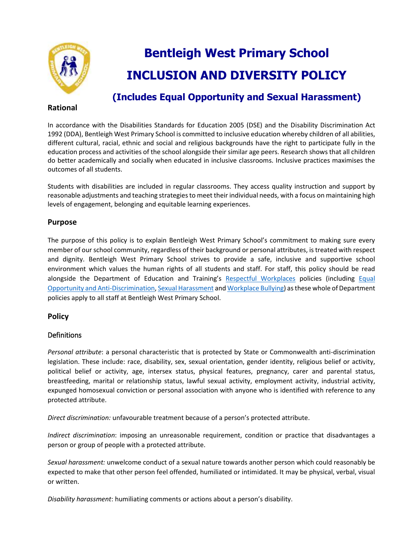

# **Bentleigh West Primary School INCLUSION AND DIVERSITY POLICY**

### **Rational**

## **(Includes Equal Opportunity and Sexual Harassment)**

In accordance with the Disabilities Standards for Education 2005 (DSE) and the Disability Discrimination Act 1992 (DDA), Bentleigh West Primary School is committed to inclusive education whereby children of all abilities, different cultural, racial, ethnic and social and religious backgrounds have the right to participate fully in the education process and activities of the school alongside their similar age peers. Research shows that all children do better academically and socially when educated in inclusive classrooms. Inclusive practices maximises the outcomes of all students.

Students with disabilities are included in regular classrooms. They access quality instruction and support by reasonable adjustments and teaching strategies to meet their individual needs, with a focus on maintaining high levels of engagement, belonging and equitable learning experiences.

#### **Purpose**

The purpose of this policy is to explain Bentleigh West Primary School's commitment to making sure every member of our school community, regardless of their background or personal attributes, is treated with respect and dignity. Bentleigh West Primary School strives to provide a safe, inclusive and supportive school environment which values the human rights of all students and staff. For staff, this policy should be read alongside the Department of Education and Training's [Respectful Workplaces](https://www.education.vic.gov.au/hrweb/divequity/Pages/respect.aspx) policies (including Equal [Opportunity and Anti-Discrimination,](https://www.education.vic.gov.au/hrweb/divequity/Pages/default_eeo.aspx) [Sexual Harassment](https://www.education.vic.gov.au/hrweb/divequity/Pages/SexualHarassment.aspx) an[d Workplace Bullying\)](https://www.education.vic.gov.au/hrweb/safetyhw/Pages/workplacebullying.aspx) as these whole of Department policies apply to all staff at Bentleigh West Primary School.

#### **Policy**

#### Definitions

*Personal attribute*: a personal characteristic that is protected by State or Commonwealth anti-discrimination legislation. These include: race, disability, sex, sexual orientation, gender identity, religious belief or activity, political belief or activity, age, intersex status, physical features, pregnancy, carer and parental status, breastfeeding, marital or relationship status, lawful sexual activity, employment activity, industrial activity, expunged homosexual conviction or personal association with anyone who is identified with reference to any protected attribute.

*Direct discrimination:* unfavourable treatment because of a person's protected attribute.

*Indirect discrimination*: imposing an unreasonable requirement, condition or practice that disadvantages a person or group of people with a protected attribute.

*Sexual harassment:* unwelcome conduct of a sexual nature towards another person which could reasonably be expected to make that other person feel offended, humiliated or intimidated. It may be physical, verbal, visual or written.

*Disability harassment*: humiliating comments or actions about a person's disability.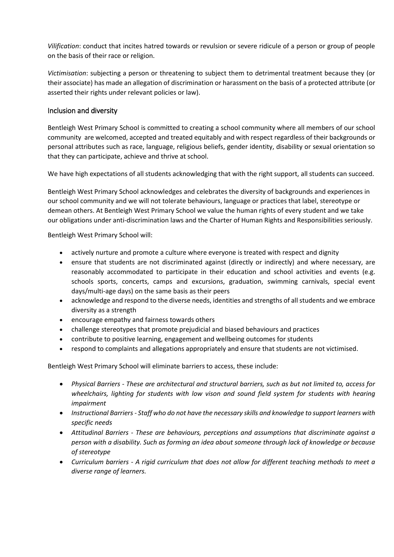*Vilification*: conduct that incites hatred towards or revulsion or severe ridicule of a person or group of people on the basis of their race or religion.

*Victimisation*: subjecting a person or threatening to subject them to detrimental treatment because they (or their associate) has made an allegation of discrimination or harassment on the basis of a protected attribute (or asserted their rights under relevant policies or law).

#### Inclusion and diversity

Bentleigh West Primary School is committed to creating a school community where all members of our school community are welcomed, accepted and treated equitably and with respect regardless of their backgrounds or personal attributes such as race, language, religious beliefs, gender identity, disability or sexual orientation so that they can participate, achieve and thrive at school.

We have high expectations of all students acknowledging that with the right support, all students can succeed.

Bentleigh West Primary School acknowledges and celebrates the diversity of backgrounds and experiences in our school community and we will not tolerate behaviours, language or practices that label, stereotype or demean others. At Bentleigh West Primary School we value the human rights of every student and we take our obligations under anti-discrimination laws and the Charter of Human Rights and Responsibilities seriously.

Bentleigh West Primary School will:

- actively nurture and promote a culture where everyone is treated with respect and dignity
- ensure that students are not discriminated against (directly or indirectly) and where necessary, are reasonably accommodated to participate in their education and school activities and events (e.g. schools sports, concerts, camps and excursions, graduation, swimming carnivals, special event days/multi-age days) on the same basis as their peers
- acknowledge and respond to the diverse needs, identities and strengths of all students and we embrace diversity as a strength
- encourage empathy and fairness towards others
- challenge stereotypes that promote prejudicial and biased behaviours and practices
- contribute to positive learning, engagement and wellbeing outcomes for students
- respond to complaints and allegations appropriately and ensure that students are not victimised.

Bentleigh West Primary School will eliminate barriers to access, these include:

- *Physical Barriers - These are architectural and structural barriers, such as but not limited to, access for wheelchairs, lighting for students with low vison and sound field system for students with hearing impairment*
- *Instructional Barriers - Staff who do not have the necessary skills and knowledge to support learners with specific needs*
- *Attitudinal Barriers - These are behaviours, perceptions and assumptions that discriminate against a person with a disability. Such as forming an idea about someone through lack of knowledge or because of stereotype*
- *Curriculum barriers - A rigid curriculum that does not allow for different teaching methods to meet a diverse range of learners.*